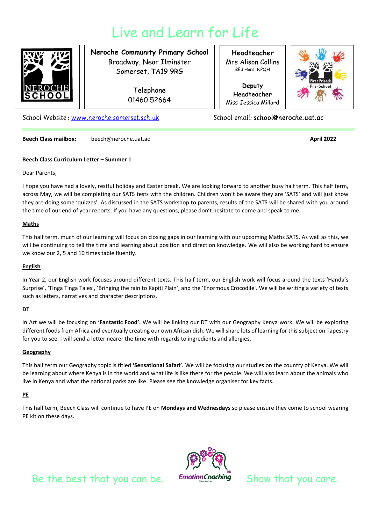# Live and Learn for Life



## **Neroche Community Primary School** Broadway, Near Ilminster Somerset, TA19 9RG

Telephone 01460 52664

**Headteacher** Mrs Alison Collins BEd Hons, NPQH

**Deputy Headteacher** Miss Jessica Millard



School Website: www.neroche.somerset.sch.uk

School email: school@neroche.uat.ac

**Beech Class mailbox:** beech@neroche.uat.ac **April 2022 April 2022** 

### **Beech Class Curriculum Letter – Summer 1**

Dear Parents,

I hope you have had a lovely, restful holiday and Easter break. We are looking forward to another busy half term. This half term, across May, we will be completing our SATS tests with the children. Children won't be aware they are 'SATS' and will just know they are doing some 'quizzes'. As discussed in the SATS workshop to parents, results of the SATS will be shared with you around the time of our end of year reports. If you have any questions, please don't hesitate to come and speak to me.

### **Maths**

This half term, much of our learning will focus on closing gaps in our learning with our upcoming Maths SATS. As well as this, we will be continuing to tell the time and learning about position and direction knowledge. We will also be working hard to ensure we know our 2, 5 and 10 times table fluently.

### **English**

In Year 2, our English work focuses around different texts. This half term, our English work will focus around the texts 'Handa's Surprise', 'TInga Tinga Tales', 'Bringing the rain to Kapiti Plain', and the 'Enormous Crocodile'. We will be writing a variety of texts such as letters, narratives and character descriptions.

### **DT**

In Art we will be focusing on **'Fantastic Food'.** We will be linking our DT with our Geography Kenya work. We will be exploring different foods from Africa and eventually creating our own African dish. We will share lots of learning for this subject on Tapestry for you to see. I will send a letter nearer the time with regards to ingredients and allergies.

### **Geography**

This half term our Geography topic is titled **'Sensational Safari'.** We will be focusing our studies on the country of Kenya. We will be learning about where Kenya is in the world and what life is like there for the people. We will also learn about the animals who live in Kenya and what the national parks are like. Please see the knowledge organiser for key facts.

### **PE**

This half term, Beech Class will continue to have PE on **Mondays and Wednesdays** so please ensure they come to school wearing PE kit on these days.



Be the best that you can be. Emotion Coaching Show that you care.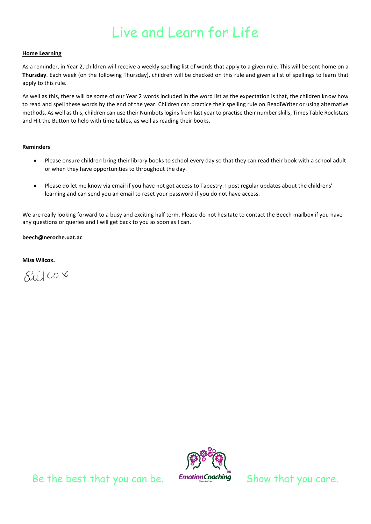# Live and Learn for Life

#### **Home Learning**

As a reminder, in Year 2, children will receive a weekly spelling list of words that apply to a given rule. This will be sent home on a **Thursday**. Each week (on the following Thursday), children will be checked on this rule and given a list of spellings to learn that apply to this rule.

As well as this, there will be some of our Year 2 words included in the word list as the expectation is that, the children know how to read and spell these words by the end of the year. Children can practice their spelling rule on ReadiWriter or using alternative methods. As well as this, children can use their Numbots logins from last year to practise their number skills, Times Table Rockstars and Hit the Button to help with time tables, as well as reading their books.

#### **Reminders**

- Please ensure children bring their library books to school every day so that they can read their book with a school adult or when they have opportunities to throughout the day.
- Please do let me know via email if you have not got access to Tapestry. I post regular updates about the childrens' learning and can send you an email to reset your password if you do not have access.

We are really looking forward to a busy and exciting half term. Please do not hesitate to contact the Beech mailbox if you have any questions or queries and I will get back to you as soon as I can.

#### **beech@neroche.uat.ac**

**Miss Wilcox.**





Be the best that you can be. Emotion Coaching Show that you care.